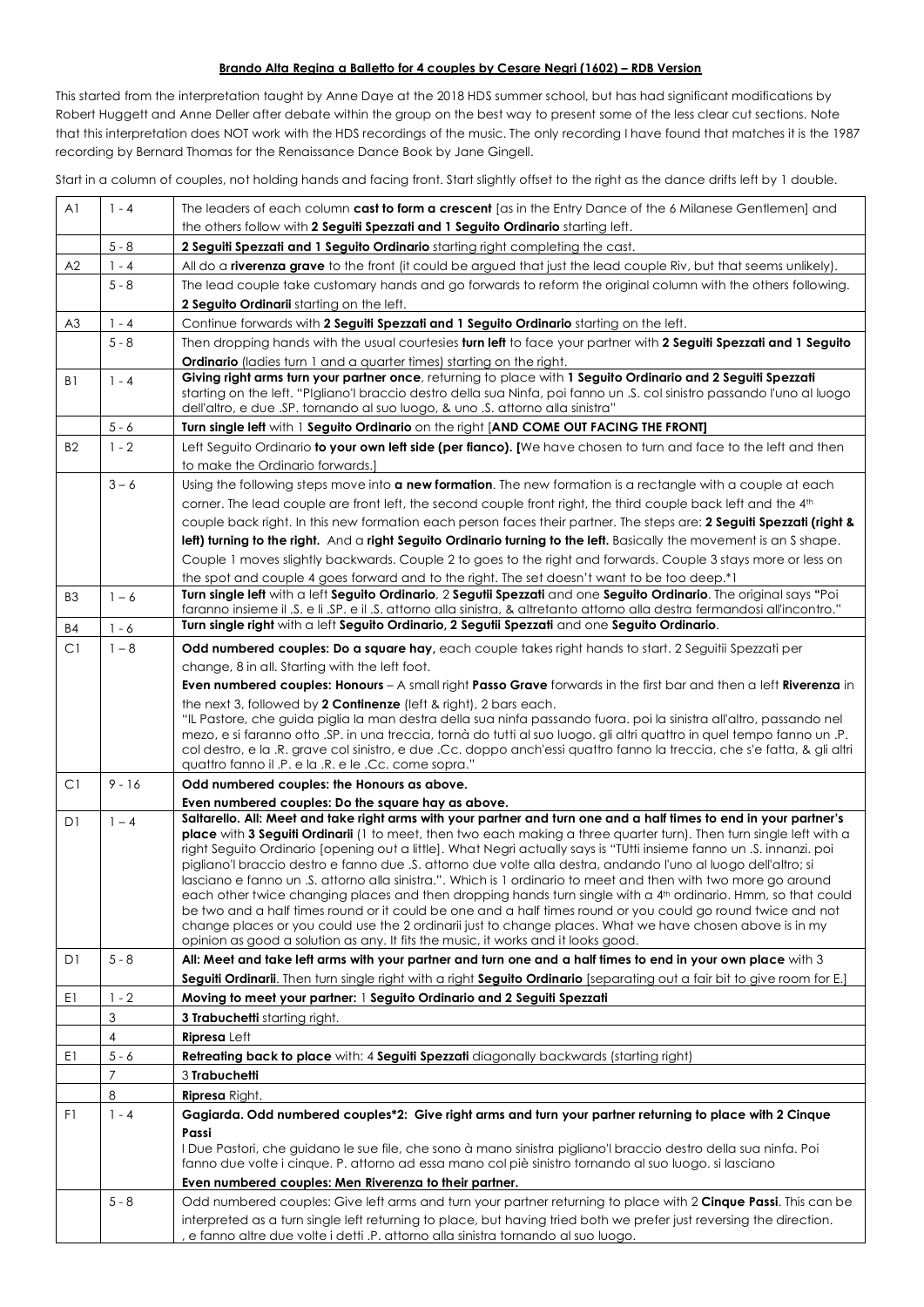#### **Brando Alta Regina a Balletto for 4 couples by Cesare Negri (1602) – RDB Version**

This started from the interpretation taught by Anne Daye at the 2018 HDS summer school, but has had significant modifications by Robert Huggett and Anne Deller after debate within the group on the best way to present some of the less clear cut sections. Note that this interpretation does NOT work with the HDS recordings of the music. The only recording I have found that matches it is the 1987 recording by Bernard Thomas for the Renaissance Dance Book by Jane Gingell.

Start in a column of couples, not holding hands and facing front. Start slightly offset to the right as the dance drifts left by 1 double.

| A <sub>1</sub> | $1 - 4$                 | The leaders of each column cast to form a crescent [as in the Entry Dance of the 6 Milanese Gentlemen] and                                                                                                                                                                                                                                         |
|----------------|-------------------------|----------------------------------------------------------------------------------------------------------------------------------------------------------------------------------------------------------------------------------------------------------------------------------------------------------------------------------------------------|
|                |                         | the others follow with 2 Seguiti Spezzati and 1 Seguito Ordinario starting left.                                                                                                                                                                                                                                                                   |
|                | $5 - 8$                 | 2 Seguiti Spezzati and 1 Seguito Ordinario starting right completing the cast.                                                                                                                                                                                                                                                                     |
| A2             | $1 - 4$                 | All do a riverenza grave to the front (it could be argued that just the lead couple Riv, but that seems unlikely).                                                                                                                                                                                                                                 |
|                | $5 - 8$                 | The lead couple take customary hands and go forwards to reform the original column with the others following.                                                                                                                                                                                                                                      |
|                |                         | 2 Seguito Ordinarii starting on the left.                                                                                                                                                                                                                                                                                                          |
| A3             | $1 - 4$                 | Continue forwards with 2 Seguiti Spezzati and 1 Seguito Ordinario starting on the left.                                                                                                                                                                                                                                                            |
|                | $5 - 8$                 | Then dropping hands with the usual courtesies turn left to face your partner with 2 Seguiti Spezzati and 1 Seguito                                                                                                                                                                                                                                 |
|                |                         | <b>Ordinario</b> (ladies turn 1 and a quarter times) starting on the right.                                                                                                                                                                                                                                                                        |
| B1             | $1 - 4$                 | Giving right arms turn your partner once, returning to place with 1 Seguito Ordinario and 2 Seguiti Spezzati<br>starting on the left. "Pigliano'l braccio destro della sua Ninfa, poi fanno un .S. col sinistro passando l'uno al luogo<br>dell'altro, e due .SP. tornando al suo luogo, & uno .S. attorno alla sinistra"                          |
|                | $5 - 6$                 | Turn single left with 1 Seguito Ordinario on the right [AND COME OUT FACING THE FRONT]                                                                                                                                                                                                                                                             |
| <b>B2</b>      | $1 - 2$                 | Left Seguito Ordinario to your own left side (per fianco). [We have chosen to turn and face to the left and then                                                                                                                                                                                                                                   |
|                |                         | to make the Ordinario forwards.]                                                                                                                                                                                                                                                                                                                   |
|                | $3 - 6$                 | Using the following steps move into a new formation. The new formation is a rectangle with a couple at each                                                                                                                                                                                                                                        |
|                |                         | corner. The lead couple are front left, the second couple front right, the third couple back left and the 4th                                                                                                                                                                                                                                      |
|                |                         | couple back right. In this new formation each person faces their partner. The steps are: 2 Seguiti Spezzati (right &                                                                                                                                                                                                                               |
|                |                         | left) furning to the right. And a right Seguito Ordinario turning to the left. Basically the movement is an S shape.                                                                                                                                                                                                                               |
|                |                         | Couple 1 moves slightly backwards. Couple 2 to goes to the right and forwards. Couple 3 stays more or less on                                                                                                                                                                                                                                      |
| B <sub>3</sub> | $1 - 6$                 | the spot and couple 4 goes forward and to the right. The set doesn't want to be too deep.*1<br>Turn single left with a left Seguito Ordinario, 2 Segutii Spezzati and one Seguito Ordinario. The original says "Poi<br>faranno insieme il .S. e li .SP. e il .S. attorno alla sinistra, & altretanto attorno alla destra fermandosi all'incontro." |
| <b>B4</b>      | $1 - 6$                 | Turn single right with a left Seguito Ordinario, 2 Segutii Spezzati and one Seguito Ordinario.                                                                                                                                                                                                                                                     |
| C1             | $1 - 8$                 | Odd numbered couples: Do a square hay, each couple takes right hands to start. 2 Seguitii Spezzati per                                                                                                                                                                                                                                             |
|                |                         | change, 8 in all. Starting with the left foot.                                                                                                                                                                                                                                                                                                     |
|                |                         | Even numbered couples: Honours - A small right Passo Grave forwards in the first bar and then a left Riverenza in                                                                                                                                                                                                                                  |
|                |                         | the next 3, followed by 2 Continenze (left & right), 2 bars each.                                                                                                                                                                                                                                                                                  |
|                |                         | "IL Pastore, che guida piglia la man destra della sua ninfa passando fuora. poi la sinistra all'altro, passando nel                                                                                                                                                                                                                                |
|                |                         | mezo, e si faranno otto .SP. in una treccia, tornà do tutti al suo luogo. gli altri quattro in quel tempo fanno un .P.<br>col destro, e la .R. grave col sinistro, e due .Cc. doppo anch'essi quattro fanno la treccia, che s'e fatta, & gli altri                                                                                                 |
|                |                         | quattro fanno il .P. e la .R. e le .Cc. come sopra."                                                                                                                                                                                                                                                                                               |
| C1             | $9 - 16$                | Odd numbered couples: the Honours as above.                                                                                                                                                                                                                                                                                                        |
|                |                         | Even numbered couples: Do the square hay as above.                                                                                                                                                                                                                                                                                                 |
| DI             | $1 - 4$                 | Saltarello. All: Meet and take right arms with your partner and turn one and a half times to end in your partner's                                                                                                                                                                                                                                 |
|                |                         | <b>place</b> with 3 Seguiti Ordinarii (1 to meet, then two each making a three quarter turn). Then turn single left with a                                                                                                                                                                                                                         |
|                |                         | right Seguito Ordinario [opening out a little]. What Negri actually says is "TUtti insieme fanno un .S. innanzi. poi<br>pigliano'l braccio destro e fanno due .S. attorno due volte alla destra, andando l'uno al luogo dell'altro; si                                                                                                             |
|                |                         | lasciano e fanno un .S. attorno alla sinistra.". Which is 1 ordinario to meet and then with two more go around                                                                                                                                                                                                                                     |
|                |                         | each other twice changing places and then dropping hands turn single with a 4 <sup>th</sup> ordinario. Hmm, so that could                                                                                                                                                                                                                          |
|                |                         | be two and a half times round or it could be one and a half times round or you could go round twice and not<br>change places or you could use the 2 ordinarii just to change places. What we have chosen above is in my                                                                                                                            |
|                |                         | opinion as good a solution as any. It fits the music, it works and it looks good.                                                                                                                                                                                                                                                                  |
| D1             | $5 - 8$                 | All: Meet and take left arms with your partner and turn one and a half times to end in your own place with 3                                                                                                                                                                                                                                       |
|                |                         | Seguiti Ordinarii. Then turn single right with a right Seguito Ordinario [separating out a fair bit to give room for E.]                                                                                                                                                                                                                           |
| E1             | $1 - 2$                 | Moving to meet your partner: I Seguito Ordinario and 2 Seguiti Spezzati                                                                                                                                                                                                                                                                            |
|                | 3                       | 3 Trabuchetti starting right.                                                                                                                                                                                                                                                                                                                      |
|                | $\overline{\mathbf{4}}$ | <b>Ripresa</b> Left                                                                                                                                                                                                                                                                                                                                |
| E1             | $5 - 6$                 | Retreating back to place with: 4 Seguiti Spezzati diagonally backwards (starting right)                                                                                                                                                                                                                                                            |
|                | 7                       | 3 Trabuchetti                                                                                                                                                                                                                                                                                                                                      |
|                | 8                       | <b>Ripresa</b> Right.                                                                                                                                                                                                                                                                                                                              |
| F1             | $1 - 4$                 | Gagiarda. Odd numbered couples*2: Give right arms and turn your partner returning to place with 2 Cinque                                                                                                                                                                                                                                           |
|                |                         | Passi                                                                                                                                                                                                                                                                                                                                              |
|                |                         | I Due Pastori, che guidano le sue file, che sono à mano sinistra pigliano'l braccio destro della sua ninfa. Poi                                                                                                                                                                                                                                    |
|                |                         | fanno due volte i cinque. P. attorno ad essa mano col piè sinistro tornando al suo luogo. si lasciano                                                                                                                                                                                                                                              |
|                |                         | Even numbered couples: Men Riverenza to their partner.                                                                                                                                                                                                                                                                                             |
|                | $5 - 8$                 | Odd numbered couples: Give left arms and turn your partner returning to place with 2 Cinque Passi. This can be                                                                                                                                                                                                                                     |
|                |                         | interpreted as a turn single left returning to place, but having tried both we prefer just reversing the direction.<br>e fanno altre due volte i detti .P. attorno alla sinistra tornando al suo luogo.                                                                                                                                            |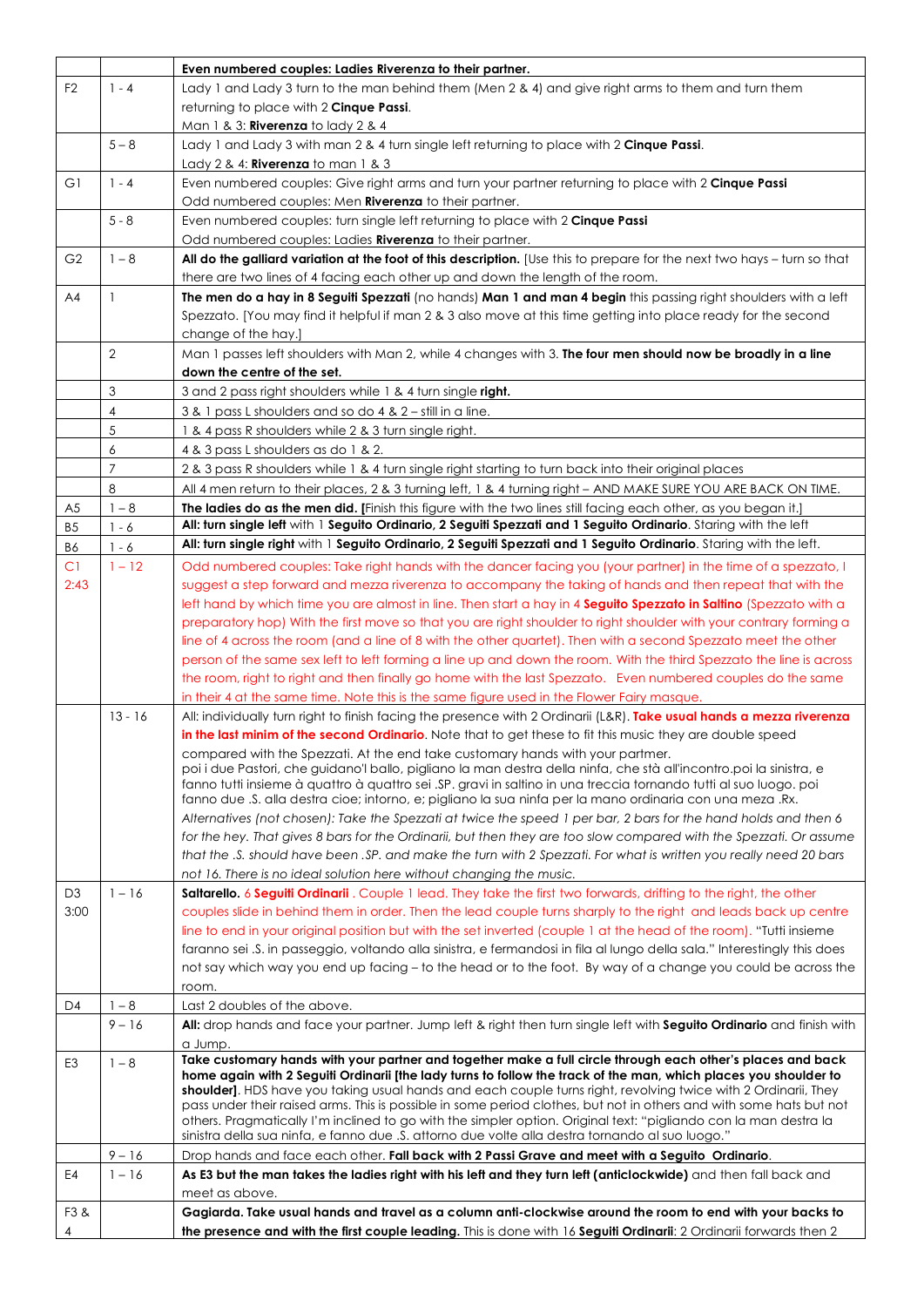|                |                | Even numbered couples: Ladies Riverenza to their partner.                                                                                                                                                                                |
|----------------|----------------|------------------------------------------------------------------------------------------------------------------------------------------------------------------------------------------------------------------------------------------|
| F <sub>2</sub> | $1 - 4$        | Lady 1 and Lady 3 turn to the man behind them (Men 2 & 4) and give right arms to them and turn them                                                                                                                                      |
|                |                | returning to place with 2 <b>Cinque Passi</b> .                                                                                                                                                                                          |
|                |                | Man 1 & 3: Riverenza to lady 2 & 4                                                                                                                                                                                                       |
|                | $5 - 8$        | Lady 1 and Lady 3 with man 2 & 4 turn single left returning to place with 2 Cinque Passi.                                                                                                                                                |
|                |                | Lady 2 & 4: $Riverenza$ to man 1 & 3                                                                                                                                                                                                     |
| G1             | $1 - 4$        | Even numbered couples: Give right arms and turn your partner returning to place with 2 Cinque Passi                                                                                                                                      |
|                |                | Odd numbered couples: Men <b>Riverenza</b> to their partner.                                                                                                                                                                             |
|                | $5 - 8$        | Even numbered couples: turn single left returning to place with 2 Cinque Passi                                                                                                                                                           |
|                |                | Odd numbered couples: Ladies Riverenza to their partner.                                                                                                                                                                                 |
| G <sub>2</sub> | $1 - 8$        | All do the galliard variation at the foot of this description. [Use this to prepare for the next two hays – turn so that                                                                                                                 |
|                |                | there are two lines of 4 facing each other up and down the length of the room.                                                                                                                                                           |
| AA             | $\mathbf{1}$   | The men do a hay in 8 Seguiti Spezzati (no hands) Man 1 and man 4 begin this passing right shoulders with a left                                                                                                                         |
|                |                | Spezzato. [You may find it helpful if man 2 & 3 also move at this time getting into place ready for the second                                                                                                                           |
|                |                | change of the hay.]                                                                                                                                                                                                                      |
|                | $\overline{2}$ | Man 1 passes left shoulders with Man 2, while 4 changes with 3. The four men should now be broadly in a line                                                                                                                             |
|                |                | down the centre of the set.                                                                                                                                                                                                              |
|                | 3              | 3 and 2 pass right shoulders while 1 & 4 turn single right.                                                                                                                                                                              |
|                | 4              | 3 & 1 pass L shoulders and so do 4 & 2 – still in a line.                                                                                                                                                                                |
|                | 5<br>6         | 1 & 4 pass R shoulders while 2 & 3 turn single right.                                                                                                                                                                                    |
|                | $\overline{7}$ | 4 & 3 pass L shoulders as do 1 & 2.                                                                                                                                                                                                      |
|                | 8              | 2 & 3 pass R shoulders while 1 & 4 turn single right starting to turn back into their original places                                                                                                                                    |
| A <sub>5</sub> | $1 - 8$        | All 4 men return to their places, 2 & 3 turning left, 1 & 4 turning right - AND MAKE SURE YOU ARE BACK ON TIME.<br>The ladies do as the men did. [Finish this figure with the two lines still facing each other, as you began it.]       |
| B <sub>5</sub> | $1 - 6$        | All: turn single left with 1 Seguito Ordinario, 2 Seguiti Spezzati and 1 Seguito Ordinario. Staring with the left                                                                                                                        |
| <b>B6</b>      | $1 - 6$        | All: turn single right with 1 Seguito Ordinario, 2 Seguiti Spezzati and 1 Seguito Ordinario. Staring with the left.                                                                                                                      |
| C1             | $1 - 12$       | Odd numbered couples: Take right hands with the dancer facing you (your partner) in the time of a spezzato, I                                                                                                                            |
| 2:43           |                | suggest a step forward and mezza riverenza to accompany the taking of hands and then repeat that with the                                                                                                                                |
|                |                | left hand by which time you are almost in line. Then start a hay in 4 Seguito Spezzato in Saltino (Spezzato with a                                                                                                                       |
|                |                | preparatory hop) With the first move so that you are right shoulder to right shoulder with your contrary forming a                                                                                                                       |
|                |                | line of 4 across the room (and a line of 8 with the other quartet). Then with a second Spezzato meet the other                                                                                                                           |
|                |                | person of the same sex left to left forming a line up and down the room. With the third Spezzato the line is across                                                                                                                      |
|                |                | the room, right to right and then finally go home with the last Spezzato. Even numbered couples do the same                                                                                                                              |
|                |                | in their 4 at the same time. Note this is the same figure used in the Flower Fairy masque.                                                                                                                                               |
|                | $13 - 16$      | All: individually turn right to finish facing the presence with 2 Ordinarii (L&R). Take usual hands a mezza riverenza                                                                                                                    |
|                |                | in the last minim of the second Ordinario. Note that to get these to fit this music they are double speed                                                                                                                                |
|                |                | compared with the Spezzati. At the end take customary hands with your partmer.                                                                                                                                                           |
|                |                | poi i due Pastori, che guidano'l ballo, pigliano la man destra della ninfa, che stà all'incontro.poi la sinistra, e<br>fanno tutti insieme à quattro à quattro sei .SP, gravi in saltino in una treccia tornando tutti al suo luogo, poi |
|                |                | fanno due .S. alla destra cioe; intorno, e; pigliano la sua ninfa per la mano ordinaria con una meza .Rx.                                                                                                                                |
|                |                | Alternatives (not chosen): Take the Spezzati at twice the speed 1 per bar, 2 bars for the hand holds and then 6                                                                                                                          |
|                |                | for the hey. That gives 8 bars for the Ordinarii, but then they are too slow compared with the Spezzati. Or assume                                                                                                                       |
|                |                | that the .S. should have been .SP. and make the turn with 2 Spezzati. For what is written you really need 20 bars                                                                                                                        |
|                |                | not 16. There is no ideal solution here without changing the music.                                                                                                                                                                      |
| D <sub>3</sub> | $1 - 16$       | Saltarello. 6 Seguiti Ordinarii. Couple 1 lead. They take the first two forwards, drifting to the right, the other                                                                                                                       |
| 3:00           |                | couples slide in behind them in order. Then the lead couple turns sharply to the right and leads back up centre                                                                                                                          |
|                |                | line to end in your original position but with the set inverted (couple 1 at the head of the room). "Tutti insieme                                                                                                                       |
|                |                | faranno sei .S. in passeggio, voltando alla sinistra, e fermandosi in fila al lungo della sala." Interestingly this does                                                                                                                 |
|                |                | not say which way you end up facing – to the head or to the foot. By way of a change you could be across the                                                                                                                             |
|                |                | room.                                                                                                                                                                                                                                    |
| D4             | $1 - 8$        | Last 2 doubles of the above.                                                                                                                                                                                                             |
|                | $9 - 16$       | All: drop hands and face your partner. Jump left & right then turn single left with Seguito Ordinario and finish with<br>a Jump.                                                                                                         |
| E <sub>3</sub> | $1 - 8$        | Take customary hands with your partner and together make a full circle through each other's places and back                                                                                                                              |
|                |                | home again with 2 Seguiti Ordinarii [the lady turns to follow the track of the man, which places you shoulder to                                                                                                                         |
|                |                | shoulder]. HDS have you taking usual hands and each couple turns right, revolving twice with 2 Ordinarii, They                                                                                                                           |
|                |                | pass under their raised arms. This is possible in some period clothes, but not in others and with some hats but not<br>others. Pragmatically I'm inclined to go with the simpler option. Original text: "pigliando con la man destra la  |
|                |                | sinistra della sua ninfa, e fanno due .S. attorno due volte alla destra tornando al suo luogo."                                                                                                                                          |
|                | $9 - 16$       | Drop hands and face each other. Fall back with 2 Passi Grave and meet with a Seguito Ordinario.                                                                                                                                          |
| E4             | $1 - 16$       | As E3 but the man takes the ladies right with his left and they turn left (anticlockwide) and then fall back and                                                                                                                         |
|                |                | meet as above.                                                                                                                                                                                                                           |
| F3&            |                | Gagiarda. Take usual hands and travel as a column anti-clockwise around the room to end with your backs to                                                                                                                               |
|                |                | the presence and with the first couple leading. This is done with 16 Seguiti Ordinarii: 2 Ordinarii forwards then 2                                                                                                                      |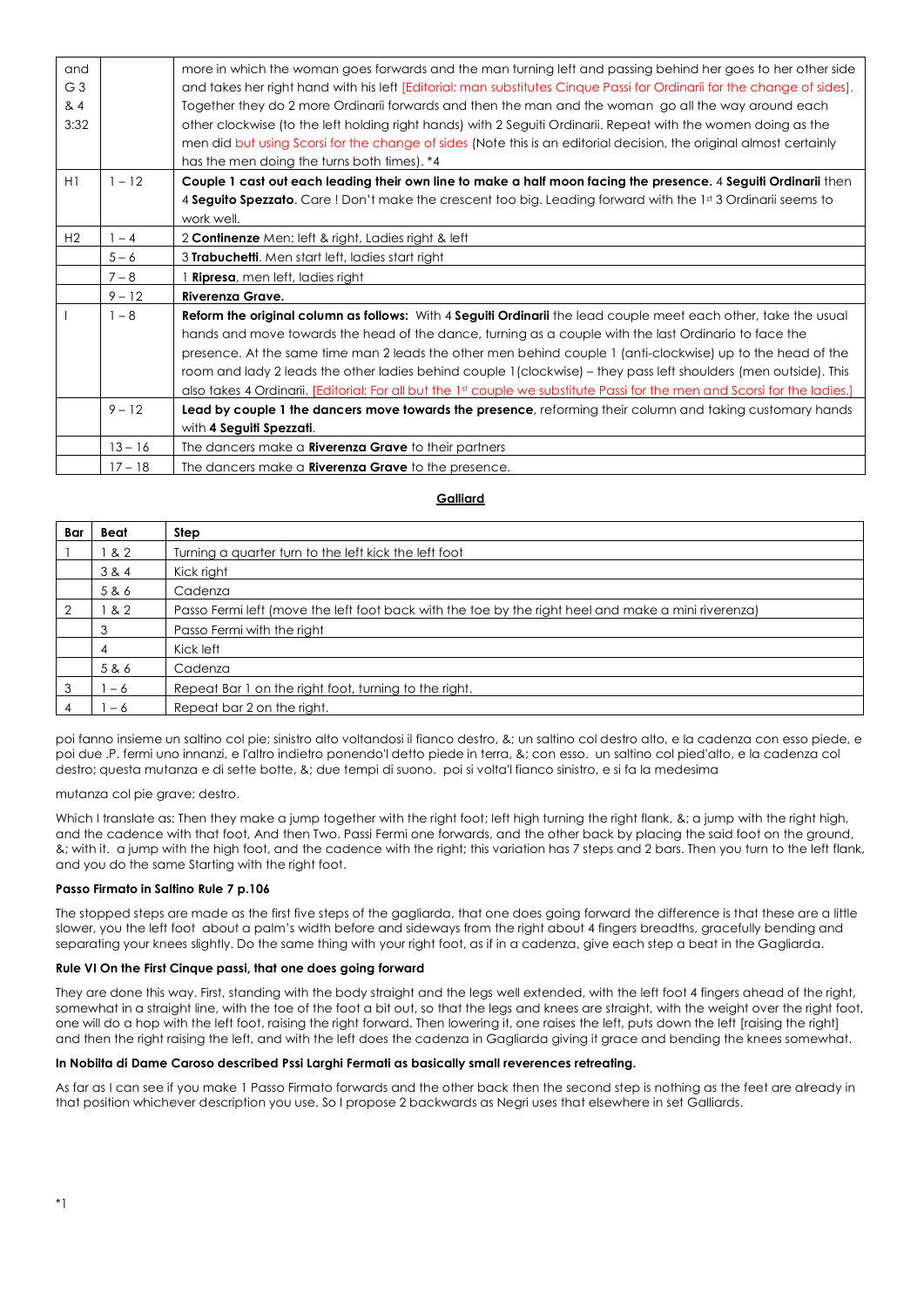| and<br>G <sub>3</sub><br>8.4<br>3:32 |           | more in which the woman goes forwards and the man turning left and passing behind her goes to her other side<br>and takes her right hand with his left [Editorial: man substitutes Cinque Passi for Ordinarii for the change of sides].<br>Together they do 2 more Ordinarii forwards and then the man and the woman go all the way around each<br>other clockwise (to the left holding right hands) with 2 Seguiti Ordinarii. Repeat with the women doing as the<br>men did but using Scorsi for the change of sides (Note this is an editorial decision, the original almost certainly   |
|--------------------------------------|-----------|--------------------------------------------------------------------------------------------------------------------------------------------------------------------------------------------------------------------------------------------------------------------------------------------------------------------------------------------------------------------------------------------------------------------------------------------------------------------------------------------------------------------------------------------------------------------------------------------|
|                                      |           | has the men doing the turns both times). *4                                                                                                                                                                                                                                                                                                                                                                                                                                                                                                                                                |
| H1                                   | $1 - 12$  | Couple 1 cast out each leading their own line to make a half moon facing the presence. 4 Seguiti Ordinarii then<br>4 Seguito Spezzato. Care! Don't make the crescent too big. Leading forward with the 1st 3 Ordinarii seems to<br>work well.                                                                                                                                                                                                                                                                                                                                              |
| H2                                   | $-4$      | 2 Continenze Men: left & right, Ladies right & left                                                                                                                                                                                                                                                                                                                                                                                                                                                                                                                                        |
|                                      | $5 - 6$   | 3 Trabuchetti. Men start left, ladies start right                                                                                                                                                                                                                                                                                                                                                                                                                                                                                                                                          |
|                                      | $7 - 8$   | <b>Ripresa</b> , men left, ladies right                                                                                                                                                                                                                                                                                                                                                                                                                                                                                                                                                    |
|                                      | $9 - 12$  | Riverenza Grave.                                                                                                                                                                                                                                                                                                                                                                                                                                                                                                                                                                           |
|                                      | $1 - 8$   | Reform the original column as follows: With 4 Seguiti Ordinarii the lead couple meet each other, take the usual<br>hands and move towards the head of the dance, turning as a couple with the last Ordinario to face the<br>presence. At the same time man 2 leads the other men behind couple 1 (anti-clockwise) up to the head of the<br>room and lady 2 leads the other ladies behind couple 1 (clockwise) – they pass left shoulders (men outside). This<br>also takes 4 Ordinarii. [Editorial: For all but the 1st couple we substitute Passi for the men and Scorsi for the ladies.] |
|                                      | $9 - 12$  | Lead by couple 1 the dancers move towards the presence, reforming their column and taking customary hands<br>with 4 Seguiti Spezzati.                                                                                                                                                                                                                                                                                                                                                                                                                                                      |
|                                      | $13 - 16$ | The dancers make a <b>Riverenza Grave</b> to their partners                                                                                                                                                                                                                                                                                                                                                                                                                                                                                                                                |
|                                      | $17 - 18$ | The dancers make a <b>Riverenza Grave</b> to the presence.                                                                                                                                                                                                                                                                                                                                                                                                                                                                                                                                 |

#### **Galliard**

| Bar | Beat  | Step                                                                                                |
|-----|-------|-----------------------------------------------------------------------------------------------------|
|     | & 2   | Turning a quarter turn to the left kick the left foot                                               |
|     | 3 & 4 | Kick right                                                                                          |
|     | 5 & 6 | Cadenza                                                                                             |
|     | & 2   | Passo Fermi left (move the left foot back with the toe by the right heel and make a mini riverenza) |
|     | 3     | Passo Fermi with the right                                                                          |
|     | 4     | Kick left                                                                                           |
|     | 5 & 6 | Cadenza                                                                                             |
| 3   | - 6   | Repeat Bar 1 on the right foot, turning to the right.                                               |
|     | - 6   | Repeat bar 2 on the right.                                                                          |

poi fanno insieme un saltino col pie; sinistro alto voltandosi il fianco destro, &; un saltino col destro alto, e la cadenza con esso piede, e poi due .P. fermi uno innanzi, e l'altro indietro ponendo'l detto piede in terra, &; con esso. un saltino col pied'alto, e la cadenza col destro; questa mutanza e di sette botte, &; due tempi di suono. poi si volta'l fianco sinistro, e si fa la medesima

mutanza col pie grave; destro.

Which I translate as: Then they make a jump together with the right foot; left high turning the right flank, &; a jump with the right high, and the cadence with that foot, And then Two. Passi Fermi one forwards, and the other back by placing the said foot on the ground, &; with it. a jump with the high foot, and the cadence with the right; this variation has 7 steps and 2 bars. Then you turn to the left flank, and you do the same Starting with the right foot.

#### **Passo Firmato in Saltino Rule 7 p.106**

The stopped steps are made as the first five steps of the gagliarda, that one does going forward the difference is that these are a little slower, you the left foot about a palm's width before and sideways from the right about 4 fingers breadths, gracefully bending and separating your knees slightly. Do the same thing with your right foot, as if in a cadenza, give each step a beat in the Gagliarda.

#### **Rule VI On the First Cinque passi, that one does going forward**

They are done this way. First, standing with the body straight and the legs well extended, with the left foot 4 fingers ahead of the right, somewhat in a straight line, with the toe of the foot a bit out, so that the legs and knees are straight, with the weight over the right foot, one will do a hop with the left foot, raising the right forward. Then lowering it, one raises the left, puts down the left [raising the right] and then the right raising the left, and with the left does the cadenza in Gagliarda giving it grace and bending the knees somewhat.

#### **In Nobilta di Dame Caroso described Pssi Larghi Fermati as basically small reverences retreating.**

As far as I can see if you make 1 Passo Firmato forwards and the other back then the second step is nothing as the feet are already in that position whichever description you use. So I propose 2 backwards as Negri uses that elsewhere in set Galliards.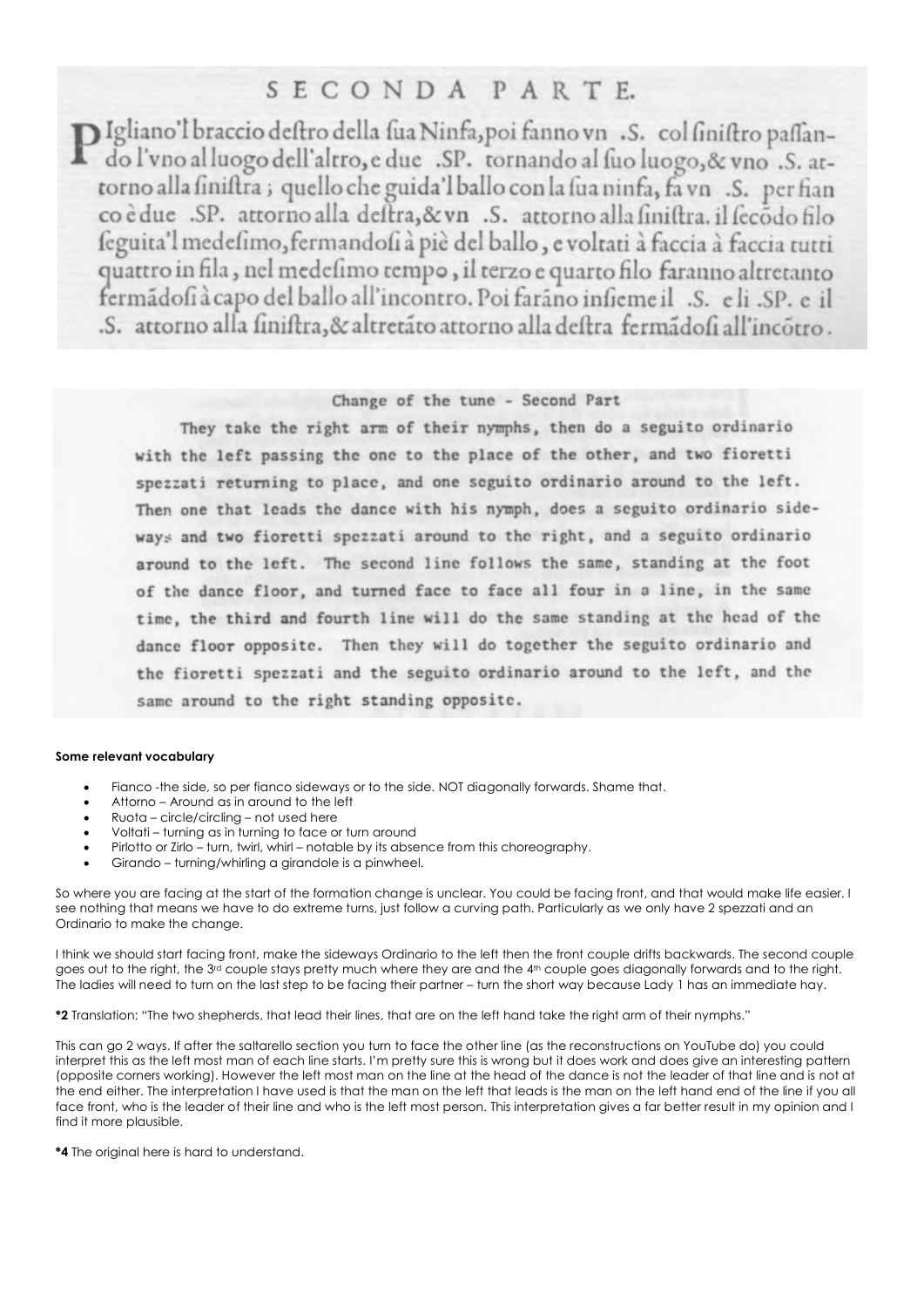## SECONDA PARTE.

DIgliano'l braccio deftro della fua Ninfa, poi fanno vn .S. col finiftro paffando l'vno al luogo dell'altro, e due .SP. tornando al fuo luogo, & vno .S. attorno alla finiftra; quello che guida'l ballo con la fua ninfa, fa vn .S. per fian co è due SP. attorno alla deftra, & vn S. attorno alla finiftra. il fecodo filo feguita'l medefimo, fermandofi à piè del ballo, e voltati à faccia à faccia tutti quattro in fila, nel medefimo tempo, il terzo e quarto filo faranno altretanto fermadofià capo del ballo all'incontro. Poi farano infieme il .S. e li .SP. e il .S. attorno alla finiftra, & altretato attorno alla deftra fermadofi all'incotro.

### Change of the tune - Second Part

They take the right arm of their nymphs, then do a seguito ordinario with the left passing the one to the place of the other, and two fioretti spezzati returning to place, and one seguito ordinario around to the left. Then one that leads the dance with his nymph, does a seguito ordinario sideways and two fioretti spezzati around to the right, and a seguito ordinario around to the left. The second line follows the same, standing at the foot of the dance floor, and turned face to face all four in a line, in the same time, the third and fourth line will do the same standing at the head of the dance floor opposite. Then they will do together the seguito ordinario and the fioretti spezzati and the seguito ordinario around to the left, and the same around to the right standing opposite.

#### **Some relevant vocabulary**

- Fianco -the side, so per fianco sideways or to the side. NOT diagonally forwards. Shame that.
- Attorno Around as in around to the left
- Ruota circle/circling not used here
- Voltati turning as in turning to face or turn around
- Pirlotto or Zirlo turn, twirl, whirl notable by its absence from this choreography.
- Girando turning/whirling a girandole is a pinwheel.

So where you are facing at the start of the formation change is unclear. You could be facing front, and that would make life easier. I see nothing that means we have to do extreme turns, just follow a curving path. Particularly as we only have 2 spezzati and an Ordinario to make the change.

I think we should start facing front, make the sideways Ordinario to the left then the front couple drifts backwards. The second couple goes out to the right, the 3<sup>rd</sup> couple stays pretty much where they are and the 4<sup>th</sup> couple goes diagonally forwards and to the right. The ladies will need to turn on the last step to be facing their partner – turn the short way because Lady 1 has an immediate hay.

**\*2** Translation: "The two shepherds, that lead their lines, that are on the left hand take the right arm of their nymphs."

This can go 2 ways. If after the saltarello section you turn to face the other line (as the reconstructions on YouTube do) you could interpret this as the left most man of each line starts. I'm pretty sure this is wrong but it does work and does give an interesting pattern (opposite corners working). However the left most man on the line at the head of the dance is not the leader of that line and is not at the end either. The interpretation I have used is that the man on the left that leads is the man on the left hand end of the line if you all face front, who is the leader of their line and who is the left most person. This interpretation gives a far better result in my opinion and I find it more plausible.

**\*4** The original here is hard to understand.